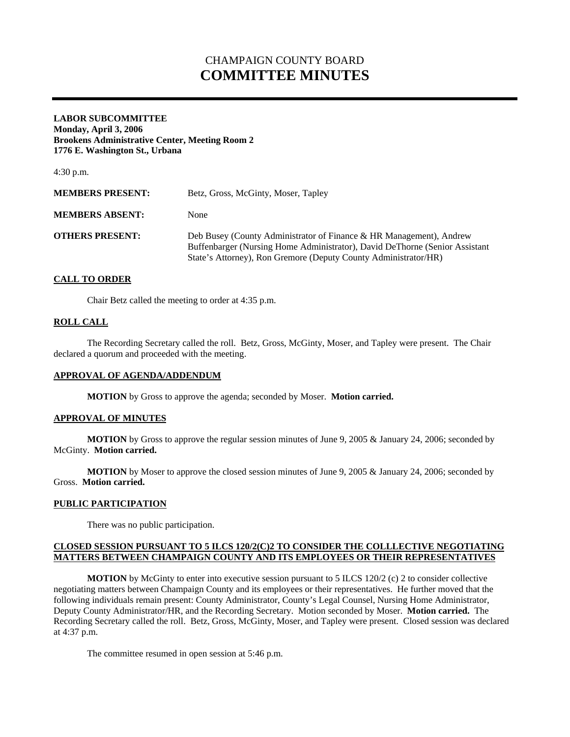# CHAMPAIGN COUNTY BOARD **COMMITTEE MINUTES**

#### **LABOR SUBCOMMITTEE Monday, April 3, 2006 Brookens Administrative Center, Meeting Room 2 1776 E. Washington St., Urbana**

4:30 p.m.

| <b>MEMBERS PRESENT:</b> | Betz, Gross, McGinty, Moser, Tapley                                                                                                                                                                                   |
|-------------------------|-----------------------------------------------------------------------------------------------------------------------------------------------------------------------------------------------------------------------|
| <b>MEMBERS ABSENT:</b>  | <b>None</b>                                                                                                                                                                                                           |
| <b>OTHERS PRESENT:</b>  | Deb Busey (County Administrator of Finance & HR Management), Andrew<br>Buffenbarger (Nursing Home Administrator), David DeThorne (Senior Assistant<br>State's Attorney), Ron Gremore (Deputy County Administrator/HR) |

# **CALL TO ORDER**

Chair Betz called the meeting to order at 4:35 p.m.

#### **ROLL CALL**

 The Recording Secretary called the roll. Betz, Gross, McGinty, Moser, and Tapley were present. The Chair declared a quorum and proceeded with the meeting.

#### **APPROVAL OF AGENDA/ADDENDUM**

 **MOTION** by Gross to approve the agenda; seconded by Moser. **Motion carried.**

#### **APPROVAL OF MINUTES**

**MOTION** by Gross to approve the regular session minutes of June 9, 2005 & January 24, 2006; seconded by McGinty. **Motion carried.**

**MOTION** by Moser to approve the closed session minutes of June 9, 2005 & January 24, 2006; seconded by Gross. **Motion carried.** 

## **PUBLIC PARTICIPATION**

There was no public participation.

## **CLOSED SESSION PURSUANT TO 5 ILCS 120/2(C)2 TO CONSIDER THE COLLLECTIVE NEGOTIATING MATTERS BETWEEN CHAMPAIGN COUNTY AND ITS EMPLOYEES OR THEIR REPRESENTATIVES**

**MOTION** by McGinty to enter into executive session pursuant to 5 ILCS 120/2 (c) 2 to consider collective negotiating matters between Champaign County and its employees or their representatives. He further moved that the following individuals remain present: County Administrator, County's Legal Counsel, Nursing Home Administrator, Deputy County Administrator/HR, and the Recording Secretary. Motion seconded by Moser. **Motion carried.** The Recording Secretary called the roll. Betz, Gross, McGinty, Moser, and Tapley were present. Closed session was declared at 4:37 p.m.

The committee resumed in open session at 5:46 p.m.